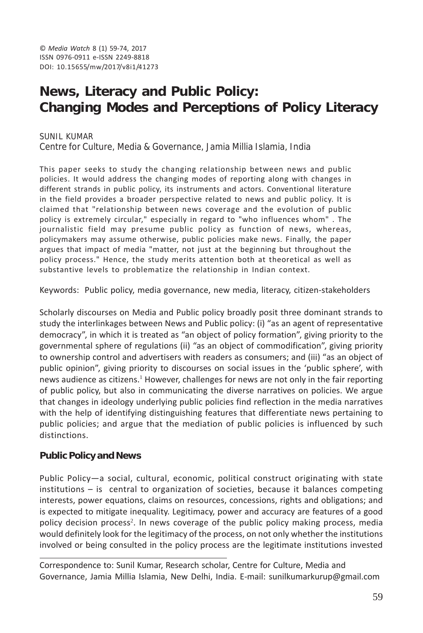# **News, Literacy and Public Policy: Changing Modes and Perceptions of Policy Literacy**

SUNIL KUMAR Centre for Culture, Media & Governance, Jamia Millia Islamia, India

This paper seeks to study the changing relationship between news and public policies. It would address the changing modes of reporting along with changes in different strands in public policy, its instruments and actors. Conventional literature in the field provides a broader perspective related to news and public policy. It is claimed that "relationship between news coverage and the evolution of public policy is extremely circular," especially in regard to "who influences whom" . The journalistic field may presume public policy as function of news, whereas, policymakers may assume otherwise, public policies make news. Finally, the paper argues that impact of media "matter, not just at the beginning but throughout the policy process." Hence, the study merits attention both at theoretical as well as substantive levels to problematize the relationship in Indian context.

Keywords: Public policy, media governance, new media, literacy, citizen-stakeholders

Scholarly discourses on Media and Public policy broadly posit three dominant strands to study the interlinkages between News and Public policy: (i) "as an agent of representative democracy", in which it is treated as "an object of policy formation", giving priority to the governmental sphere of regulations (ii) "as an object of commodification", giving priority to ownership control and advertisers with readers as consumers; and (iii) "as an object of public opinion", giving priority to discourses on social issues in the 'public sphere', with news audience as citizens.<sup>1</sup> However, challenges for news are not only in the fair reporting of public policy, but also in communicating the diverse narratives on policies. We argue that changes in ideology underlying public policies find reflection in the media narratives with the help of identifying distinguishing features that differentiate news pertaining to public policies; and argue that the mediation of public policies is influenced by such distinctions.

## **Public Policy and News**

Public Policy—a social, cultural, economic, political construct originating with state institutions – is central to organization of societies, because it balances competing interests, power equations, claims on resources, concessions, rights and obligations; and is expected to mitigate inequality. Legitimacy, power and accuracy are features of a good policy decision process<sup>2</sup>. In news coverage of the public policy making process, media would definitely look for the legitimacy of the process, on not only whether the institutions involved or being consulted in the policy process are the legitimate institutions invested

Correspondence to: Sunil Kumar, Research scholar, Centre for Culture, Media and Governance, Jamia Millia Islamia, New Delhi, India. E-mail: sunilkumarkurup@gmail.com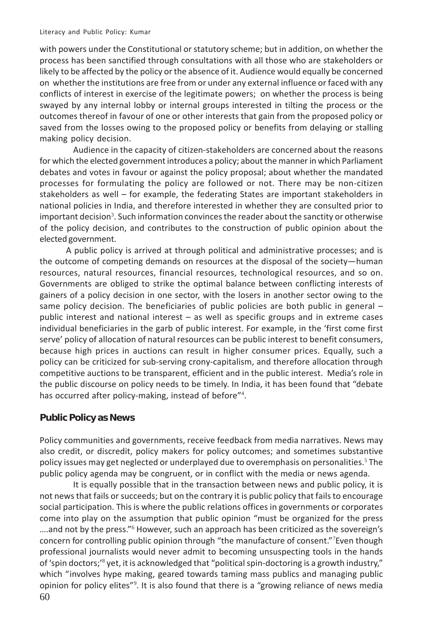with powers under the Constitutional or statutory scheme; but in addition, on whether the process has been sanctified through consultations with all those who are stakeholders or likely to be affected by the policy or the absence of it. Audience would equally be concerned on whether the institutions are free from or under any external influence or faced with any conflicts of interest in exercise of the legitimate powers; on whether the process is being swayed by any internal lobby or internal groups interested in tilting the process or the outcomes thereof in favour of one or other interests that gain from the proposed policy or saved from the losses owing to the proposed policy or benefits from delaying or stalling making policy decision.

Audience in the capacity of citizen-stakeholders are concerned about the reasons for which the elected government introduces a policy; about the manner in which Parliament debates and votes in favour or against the policy proposal; about whether the mandated processes for formulating the policy are followed or not. There may be non-citizen stakeholders as well – for example, the federating States are important stakeholders in national policies in India, and therefore interested in whether they are consulted prior to important decision $^3$ . Such information convinces the reader about the sanctity or otherwise of the policy decision, and contributes to the construction of public opinion about the elected government.

A public policy is arrived at through political and administrative processes; and is the outcome of competing demands on resources at the disposal of the society—human resources, natural resources, financial resources, technological resources, and so on. Governments are obliged to strike the optimal balance between conflicting interests of gainers of a policy decision in one sector, with the losers in another sector owing to the same policy decision. The beneficiaries of public policies are both public in general  $$ public interest and national interest – as well as specific groups and in extreme cases individual beneficiaries in the garb of public interest. For example, in the 'first come first serve' policy of allocation of natural resources can be public interest to benefit consumers, because high prices in auctions can result in higher consumer prices. Equally, such a policy can be criticized for sub-serving crony-capitalism, and therefore allocation through competitive auctions to be transparent, efficient and in the public interest. Media's role in the public discourse on policy needs to be timely. In India, it has been found that "debate has occurred after policy-making, instead of before"<sup>4</sup>.

#### **Public Policy as News**

Policy communities and governments, receive feedback from media narratives. News may also credit, or discredit, policy makers for policy outcomes; and sometimes substantive policy issues may get neglected or underplayed due to overemphasis on personalities.<sup>5</sup> The public policy agenda may be congruent, or in conflict with the media or news agenda.

60 It is equally possible that in the transaction between news and public policy, it is not news that fails or succeeds; but on the contrary it is public policy that fails to encourage social participation. This is where the public relations offices in governments or corporates come into play on the assumption that public opinion "must be organized for the press ....and not by the press."<sup>6</sup> However, such an approach has been criticized as the sovereign's concern for controlling public opinion through "the manufacture of consent."<sup>7</sup> Even though professional journalists would never admit to becoming unsuspecting tools in the hands of 'spin doctors;'<sup>8</sup> yet, it is acknowledged that "political spin-doctoring is a growth industry," which "involves hype making, geared towards taming mass publics and managing public opinion for policy elites"<sup>9</sup>. It is also found that there is a "growing reliance of news media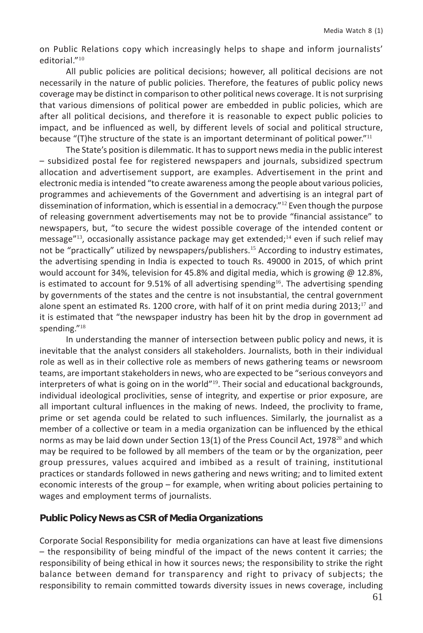on Public Relations copy which increasingly helps to shape and inform journalists' editorial."<sup>10</sup>

All public policies are political decisions; however, all political decisions are not necessarily in the nature of public policies. Therefore, the features of public policy news coverage may be distinct in comparison to other political news coverage. It is not surprising that various dimensions of political power are embedded in public policies, which are after all political decisions, and therefore it is reasonable to expect public policies to impact, and be influenced as well, by different levels of social and political structure, because "(T)he structure of the state is an important determinant of political power."<sup>11</sup>

The State's position is dilemmatic. It has to support news media in the public interest – subsidized postal fee for registered newspapers and journals, subsidized spectrum allocation and advertisement support, are examples. Advertisement in the print and electronic media is intended "to create awareness among the people about various policies, programmes and achievements of the Government and advertising is an integral part of dissemination of information, which is essential in a democracy.<sup>"12</sup> Even though the purpose of releasing government advertisements may not be to provide "financial assistance" to newspapers, but, "to secure the widest possible coverage of the intended content or message"<sup>13</sup>, occasionally assistance package may get extended;<sup>14</sup> even if such relief may not be "practically" utilized by newspapers/publishers.<sup>15</sup> According to industry estimates, the advertising spending in India is expected to touch Rs. 49000 in 2015, of which print would account for 34%, television for 45.8% and digital media, which is growing @ 12.8%, is estimated to account for 9.51% of all advertising spending<sup>16</sup>. The advertising spending by governments of the states and the centre is not insubstantial, the central government alone spent an estimated Rs. 1200 crore, with half of it on print media during 2013;<sup>17</sup> and it is estimated that "the newspaper industry has been hit by the drop in government ad spending."<sup>18</sup>

In understanding the manner of intersection between public policy and news, it is inevitable that the analyst considers all stakeholders. Journalists, both in their individual role as well as in their collective role as members of news gathering teams or newsroom teams, are important stakeholders in news, who are expected to be "serious conveyors and interpreters of what is going on in the world"<sup>19</sup>. Their social and educational backgrounds, individual ideological proclivities, sense of integrity, and expertise or prior exposure, are all important cultural influences in the making of news. Indeed, the proclivity to frame, prime or set agenda could be related to such influences. Similarly, the journalist as a member of a collective or team in a media organization can be influenced by the ethical norms as may be laid down under Section 13(1) of the Press Council Act, 1978 $^{20}$  and which may be required to be followed by all members of the team or by the organization, peer group pressures, values acquired and imbibed as a result of training, institutional practices or standards followed in news gathering and news writing; and to limited extent economic interests of the group – for example, when writing about policies pertaining to wages and employment terms of journalists.

## **Public Policy News as CSR of Media Organizations**

Corporate Social Responsibility for media organizations can have at least five dimensions – the responsibility of being mindful of the impact of the news content it carries; the responsibility of being ethical in how it sources news; the responsibility to strike the right balance between demand for transparency and right to privacy of subjects; the responsibility to remain committed towards diversity issues in news coverage, including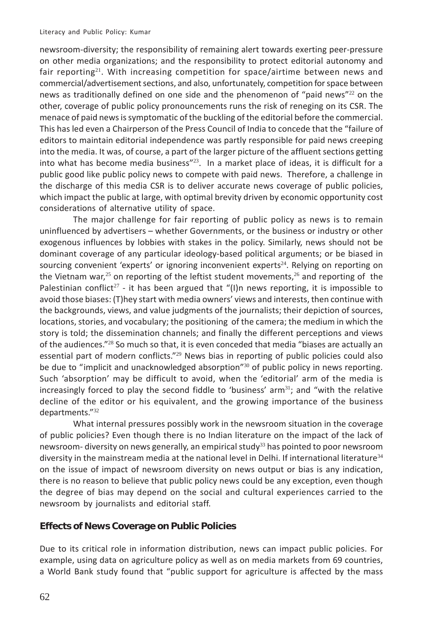newsroom-diversity; the responsibility of remaining alert towards exerting peer-pressure on other media organizations; and the responsibility to protect editorial autonomy and fair reporting<sup>21</sup>. With increasing competition for space/airtime between news and commercial/advertisement sections, and also, unfortunately, competition for space between news as traditionally defined on one side and the phenomenon of "paid news"<sup>22</sup> on the other, coverage of public policy pronouncements runs the risk of reneging on its CSR. The menace of paid news is symptomatic of the buckling of the editorial before the commercial. This has led even a Chairperson of the Press Council of India to concede that the "failure of editors to maintain editorial independence was partly responsible for paid news creeping into the media. It was, of course, a part of the larger picture of the affluent sections getting into what has become media business"<sup>23</sup>. In a market place of ideas, it is difficult for a public good like public policy news to compete with paid news. Therefore, a challenge in the discharge of this media CSR is to deliver accurate news coverage of public policies, which impact the public at large, with optimal brevity driven by economic opportunity cost considerations of alternative utility of space.

The major challenge for fair reporting of public policy as news is to remain uninfluenced by advertisers – whether Governments, or the business or industry or other exogenous influences by lobbies with stakes in the policy. Similarly, news should not be dominant coverage of any particular ideology-based political arguments; or be biased in sourcing convenient 'experts' or ignoring inconvenient experts<sup>24</sup>. Relying on reporting on the Vietnam war,<sup>25</sup> on reporting of the leftist student movements,<sup>26</sup> and reporting of the Palestinian conflict<sup>27</sup> - it has been argued that "(I)n news reporting, it is impossible to avoid those biases: (T)hey start with media owners' views and interests, then continue with the backgrounds, views, and value judgments of the journalists; their depiction of sources, locations, stories, and vocabulary; the positioning of the camera; the medium in which the story is told; the dissemination channels; and finally the different perceptions and views of the audiences."<sup>28</sup> So much so that, it is even conceded that media "biases are actually an essential part of modern conflicts."<sup>29</sup> News bias in reporting of public policies could also be due to "implicit and unacknowledged absorption"<sup>30</sup> of public policy in news reporting. Such 'absorption' may be difficult to avoid, when the 'editorial' arm of the media is increasingly forced to play the second fiddle to 'business' arm<sup>31</sup>; and "with the relative decline of the editor or his equivalent, and the growing importance of the business departments."<sup>32</sup>

What internal pressures possibly work in the newsroom situation in the coverage of public policies? Even though there is no Indian literature on the impact of the lack of newsroom- diversity on news generally, an empirical study<sup>33</sup> has pointed to poor newsroom diversity in the mainstream media at the national level in Delhi. If international literature<sup>34</sup> on the issue of impact of newsroom diversity on news output or bias is any indication, there is no reason to believe that public policy news could be any exception, even though the degree of bias may depend on the social and cultural experiences carried to the newsroom by journalists and editorial staff.

## **Effects of News Coverage on Public Policies**

Due to its critical role in information distribution, news can impact public policies. For example, using data on agriculture policy as well as on media markets from 69 countries, a World Bank study found that "public support for agriculture is affected by the mass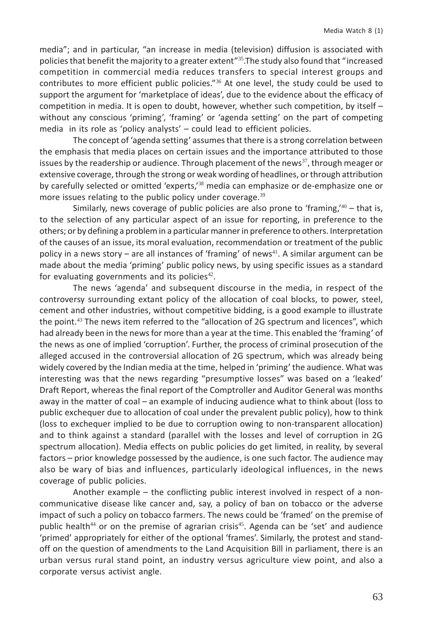media"; and in particular, "an increase in media (television) diffusion is associated with policies that benefit the majority to a greater extent"<sup>35</sup>.The study also found that "increased competition in commercial media reduces transfers to special interest groups and contributes to more efficient public policies."<sup>36</sup> At one level, the study could be used to support the argument for 'marketplace of ideas', due to the evidence about the efficacy of competition in media. It is open to doubt, however, whether such competition, by itself – without any conscious 'priming', 'framing' or 'agenda setting' on the part of competing media in its role as 'policy analysts' – could lead to efficient policies.

The concept of 'agenda setting' assumes that there is a strong correlation between the emphasis that media places on certain issues and the importance attributed to those issues by the readership or audience. Through placement of the news<sup>37</sup>, through meager or extensive coverage, through the strong or weak wording of headlines, or through attribution by carefully selected or omitted 'experts,<sup>138</sup> media can emphasize or de-emphasize one or more issues relating to the public policy under coverage.<sup>39</sup>

Similarly, news coverage of public policies are also prone to 'framing, $40 -$ that is, to the selection of any particular aspect of an issue for reporting, in preference to the others; or by defining a problem in a particular manner in preference to others. Interpretation of the causes of an issue, its moral evaluation, recommendation or treatment of the public policy in a news story – are all instances of 'framing' of news<sup>41</sup>. A similar argument can be made about the media 'priming' public policy news, by using specific issues as a standard for evaluating governments and its policies $42$ .

The news 'agenda' and subsequent discourse in the media, in respect of the controversy surrounding extant policy of the allocation of coal blocks, to power, steel, cement and other industries, without competitive bidding, is a good example to illustrate the point.<sup>43</sup> The news item referred to the "allocation of 2G spectrum and licences", which had already been in the news for more than a year at the time. This enabled the 'framing' of the news as one of implied 'corruption'. Further, the process of criminal prosecution of the alleged accused in the controversial allocation of 2G spectrum, which was already being widely covered by the Indian media at the time, helped in 'priming' the audience. What was interesting was that the news regarding "presumptive losses" was based on a 'leaked' Draft Report, whereas the final report of the Comptroller and Auditor General was months away in the matter of coal – an example of inducing audience what to think about (loss to public exchequer due to allocation of coal under the prevalent public policy), how to think (loss to exchequer implied to be due to corruption owing to non-transparent allocation) and to think against a standard (parallel with the losses and level of corruption in 2G spectrum allocation). Media effects on public policies do get limited, in reality, by several factors – prior knowledge possessed by the audience, is one such factor. The audience may also be wary of bias and influences, particularly ideological influences, in the news coverage of public policies.

Another example – the conflicting public interest involved in respect of a noncommunicative disease like cancer and, say, a policy of ban on tobacco or the adverse impact of such a policy on tobacco farmers. The news could be 'framed' on the premise of public health<sup>44</sup> or on the premise of agrarian crisis<sup>45</sup>. Agenda can be 'set' and audience 'primed' appropriately for either of the optional 'frames'. Similarly, the protest and standoff on the question of amendments to the Land Acquisition Bill in parliament, there is an urban versus rural stand point, an industry versus agriculture view point, and also a corporate versus activist angle.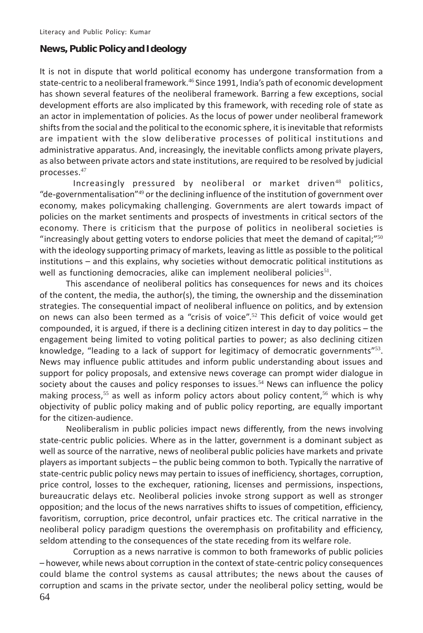#### **News, Public Policy and Ideology**

It is not in dispute that world political economy has undergone transformation from a state-centric to a neoliberal framework.<sup>46</sup> Since 1991, India's path of economic development has shown several features of the neoliberal framework. Barring a few exceptions, social development efforts are also implicated by this framework, with receding role of state as an actor in implementation of policies. As the locus of power under neoliberal framework shifts from the social and the political to the economic sphere, it is inevitable that reformists are impatient with the slow deliberative processes of political institutions and administrative apparatus. And, increasingly, the inevitable conflicts among private players, as also between private actors and state institutions, are required to be resolved by judicial processes.<sup>47</sup>

Increasingly pressured by neoliberal or market driven<sup>48</sup> politics, "de-governmentalisation"<sup>49</sup> or the declining influence of the institution of government over economy, makes policymaking challenging. Governments are alert towards impact of policies on the market sentiments and prospects of investments in critical sectors of the economy. There is criticism that the purpose of politics in neoliberal societies is "increasingly about getting voters to endorse policies that meet the demand of capital;" $50$ with the ideology supporting primacy of markets, leaving as little as possible to the political institutions – and this explains, why societies without democratic political institutions as well as functioning democracies, alike can implement neoliberal policies<sup>51</sup>.

This ascendance of neoliberal politics has consequences for news and its choices of the content, the media, the author(s), the timing, the ownership and the dissemination strategies. The consequential impact of neoliberal influence on politics, and by extension on news can also been termed as a "crisis of voice".<sup>52</sup> This deficit of voice would get compounded, it is argued, if there is a declining citizen interest in day to day politics – the engagement being limited to voting political parties to power; as also declining citizen knowledge, "leading to a lack of support for legitimacy of democratic governments" $53$ . News may influence public attitudes and inform public understanding about issues and support for policy proposals, and extensive news coverage can prompt wider dialogue in society about the causes and policy responses to issues. $54$  News can influence the policy making process,<sup>55</sup> as well as inform policy actors about policy content,<sup>56</sup> which is why objectivity of public policy making and of public policy reporting, are equally important for the citizen-audience.

Neoliberalism in public policies impact news differently, from the news involving state-centric public policies. Where as in the latter, government is a dominant subject as well as source of the narrative, news of neoliberal public policies have markets and private players as important subjects – the public being common to both. Typically the narrative of state-centric public policy news may pertain to issues of inefficiency, shortages, corruption, price control, losses to the exchequer, rationing, licenses and permissions, inspections, bureaucratic delays etc. Neoliberal policies invoke strong support as well as stronger opposition; and the locus of the news narratives shifts to issues of competition, efficiency, favoritism, corruption, price decontrol, unfair practices etc. The critical narrative in the neoliberal policy paradigm questions the overemphasis on profitability and efficiency, seldom attending to the consequences of the state receding from its welfare role.

64 Corruption as a news narrative is common to both frameworks of public policies – however, while news about corruption in the context of state-centric policy consequences could blame the control systems as causal attributes; the news about the causes of corruption and scams in the private sector, under the neoliberal policy setting, would be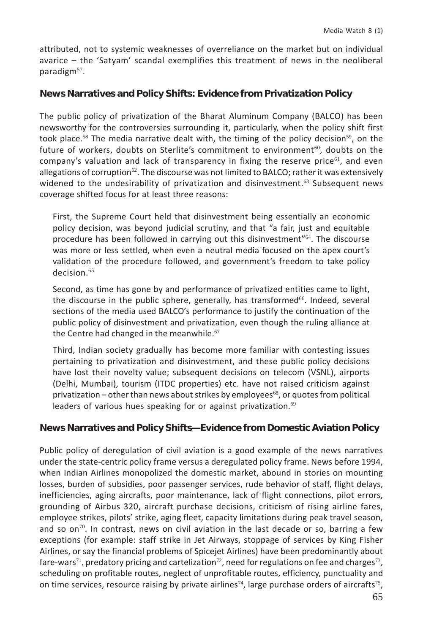attributed, not to systemic weaknesses of overreliance on the market but on individual avarice – the 'Satyam' scandal exemplifies this treatment of news in the neoliberal paradigm $57$ .

#### **News Narratives and Policy Shifts: Evidence from Privatization Policy**

The public policy of privatization of the Bharat Aluminum Company (BALCO) has been newsworthy for the controversies surrounding it, particularly, when the policy shift first took place.<sup>58</sup> The media narrative dealt with, the timing of the policy decision<sup>59</sup>, on the future of workers, doubts on Sterlite's commitment to environment<sup>60</sup>, doubts on the company's valuation and lack of transparency in fixing the reserve price<sup>61</sup>, and even allegations of corruption $62$ . The discourse was not limited to BALCO; rather it was extensively widened to the undesirability of privatization and disinvestment.<sup>63</sup> Subsequent news coverage shifted focus for at least three reasons:

First, the Supreme Court held that disinvestment being essentially an economic policy decision, was beyond judicial scrutiny, and that "a fair, just and equitable procedure has been followed in carrying out this disinvestment"64. The discourse was more or less settled, when even a neutral media focused on the apex court's validation of the procedure followed, and government's freedom to take policy decision 65

Second, as time has gone by and performance of privatized entities came to light, the discourse in the public sphere, generally, has transformed<sup>66</sup>. Indeed, several sections of the media used BALCO's performance to justify the continuation of the public policy of disinvestment and privatization, even though the ruling alliance at the Centre had changed in the meanwhile.<sup>67</sup>

Third, Indian society gradually has become more familiar with contesting issues pertaining to privatization and disinvestment, and these public policy decisions have lost their novelty value; subsequent decisions on telecom (VSNL), airports (Delhi, Mumbai), tourism (ITDC properties) etc. have not raised criticism against privatization – other than news about strikes by employees<sup>68</sup>, or quotes from political leaders of various hues speaking for or against privatization.<sup>69</sup>

## **News Narratives and Policy Shifts—Evidence from Domestic Aviation Policy**

Public policy of deregulation of civil aviation is a good example of the news narratives under the state-centric policy frame versus a deregulated policy frame. News before 1994, when Indian Airlines monopolized the domestic market, abound in stories on mounting losses, burden of subsidies, poor passenger services, rude behavior of staff, flight delays, inefficiencies, aging aircrafts, poor maintenance, lack of flight connections, pilot errors, grounding of Airbus 320, aircraft purchase decisions, criticism of rising airline fares, employee strikes, pilots' strike, aging fleet, capacity limitations during peak travel season, and so on<sup>70</sup>. In contrast, news on civil aviation in the last decade or so, barring a few exceptions (for example: staff strike in Jet Airways, stoppage of services by King Fisher Airlines, or say the financial problems of Spicejet Airlines) have been predominantly about fare-wars<sup>71</sup>, predatory pricing and cartelization<sup>72</sup>, need for regulations on fee and charges<sup>73</sup>, scheduling on profitable routes, neglect of unprofitable routes, efficiency, punctuality and on time services, resource raising by private airlines<sup>74</sup>, large purchase orders of aircrafts<sup>75</sup>,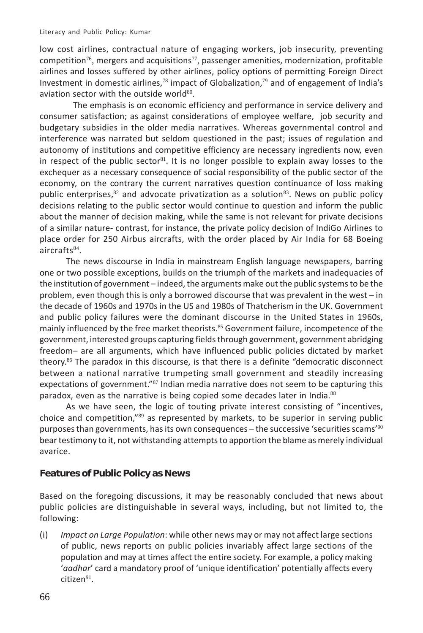low cost airlines, contractual nature of engaging workers, job insecurity, preventing competition<sup>76</sup>, mergers and acquisitions<sup>77</sup>, passenger amenities, modernization, profitable airlines and losses suffered by other airlines, policy options of permitting Foreign Direct Investment in domestic airlines,<sup>78</sup> impact of Globalization,<sup>79</sup> and of engagement of India's aviation sector with the outside world $80$ .

The emphasis is on economic efficiency and performance in service delivery and consumer satisfaction; as against considerations of employee welfare, job security and budgetary subsidies in the older media narratives. Whereas governmental control and interference was narrated but seldom questioned in the past; issues of regulation and autonomy of institutions and competitive efficiency are necessary ingredients now, even in respect of the public sector<sup>81</sup>. It is no longer possible to explain away losses to the exchequer as a necessary consequence of social responsibility of the public sector of the economy, on the contrary the current narratives question continuance of loss making public enterprises, $82$  and advocate privatization as a solution $83$ . News on public policy decisions relating to the public sector would continue to question and inform the public about the manner of decision making, while the same is not relevant for private decisions of a similar nature- contrast, for instance, the private policy decision of IndiGo Airlines to place order for 250 Airbus aircrafts, with the order placed by Air India for 68 Boeing aircrafts $84$ .

The news discourse in India in mainstream English language newspapers, barring one or two possible exceptions, builds on the triumph of the markets and inadequacies of the institution of government – indeed, the arguments make out the public systems to be the problem, even though this is only a borrowed discourse that was prevalent in the west – in the decade of 1960s and 1970s in the US and 1980s of Thatcherism in the UK. Government and public policy failures were the dominant discourse in the United States in 1960s, mainly influenced by the free market theorists.<sup>85</sup> Government failure, incompetence of the government, interested groups capturing fields through government, government abridging freedom– are all arguments, which have influenced public policies dictated by market theory.<sup>86</sup> The paradox in this discourse, is that there is a definite "democratic disconnect between a national narrative trumpeting small government and steadily increasing expectations of government."<sup>87</sup> Indian media narrative does not seem to be capturing this paradox, even as the narrative is being copied some decades later in India.<sup>88</sup>

As we have seen, the logic of touting private interest consisting of "incentives, choice and competition,"<sup>89</sup> as represented by markets, to be superior in serving public purposes than governments, has its own consequences – the successive 'securities scams'<sup>90</sup> bear testimony to it, not withstanding attempts to apportion the blame as merely individual avarice.

#### **Features of Public Policy as News**

Based on the foregoing discussions, it may be reasonably concluded that news about public policies are distinguishable in several ways, including, but not limited to, the following:

(i) *Impact on Large Population*: while other news may or may not affect large sections of public, news reports on public policies invariably affect large sections of the population and may at times affect the entire society. For example, a policy making '*aadhar*' card a mandatory proof of 'unique identification' potentially affects every  $citizen<sup>91</sup>$ .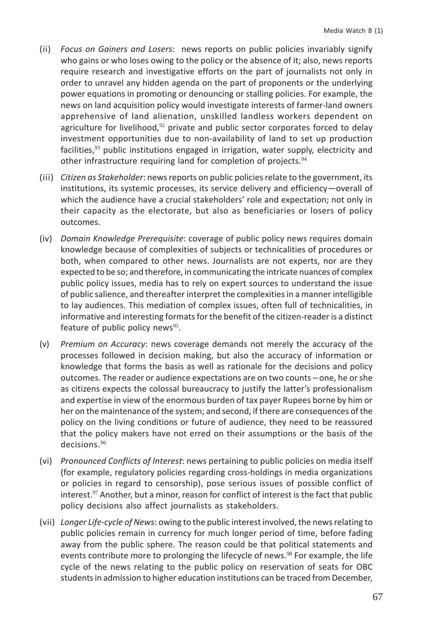- (ii) *Focus on Gainers and Losers*: news reports on public policies invariably signify who gains or who loses owing to the policy or the absence of it; also, news reports require research and investigative efforts on the part of journalists not only in order to unravel any hidden agenda on the part of proponents or the underlying power equations in promoting or denouncing or stalling policies. For example, the news on land acquisition policy would investigate interests of farmer-land owners apprehensive of land alienation, unskilled landless workers dependent on agriculture for livelihood, $92$  private and public sector corporates forced to delay investment opportunities due to non-availability of land to set up production facilities, $93$  public institutions engaged in irrigation, water supply, electricity and other infrastructure requiring land for completion of projects.<sup>94</sup>
- (iii) *Citizen as Stakeholder*: news reports on public policies relate to the government, its institutions, its systemic processes, its service delivery and efficiency—overall of which the audience have a crucial stakeholders' role and expectation; not only in their capacity as the electorate, but also as beneficiaries or losers of policy outcomes.
- (iv) *Domain Knowledge Prerequisite*: coverage of public policy news requires domain knowledge because of complexities of subjects or technicalities of procedures or both, when compared to other news. Journalists are not experts, nor are they expected to be so; and therefore, in communicating the intricate nuances of complex public policy issues, media has to rely on expert sources to understand the issue of public salience, and thereafter interpret the complexities in a manner intelligible to lay audiences. This mediation of complex issues, often full of technicalities, in informative and interesting formats for the benefit of the citizen-reader is a distinct feature of public policy news $95$ .
- (v) *Premium on Accuracy*: news coverage demands not merely the accuracy of the processes followed in decision making, but also the accuracy of information or knowledge that forms the basis as well as rationale for the decisions and policy outcomes. The reader or audience expectations are on two counts – one, he or she as citizens expects the colossal bureaucracy to justify the latter's professionalism and expertise in view of the enormous burden of tax payer Rupees borne by him or her on the maintenance of the system; and second, if there are consequences of the policy on the living conditions or future of audience, they need to be reassured that the policy makers have not erred on their assumptions or the basis of the decisions.<sup>96</sup>
- (vi) *Pronounced Conflicts of Interest*: news pertaining to public policies on media itself (for example, regulatory policies regarding cross-holdings in media organizations or policies in regard to censorship), pose serious issues of possible conflict of interest. $97$  Another, but a minor, reason for conflict of interest is the fact that public policy decisions also affect journalists as stakeholders.
- (vii) *Longer Life-cycle of News*: owing to the public interest involved, the news relating to public policies remain in currency for much longer period of time, before fading away from the public sphere. The reason could be that political statements and events contribute more to prolonging the lifecycle of news.<sup>98</sup> For example, the life cycle of the news relating to the public policy on reservation of seats for OBC students in admission to higher education institutions can be traced from December,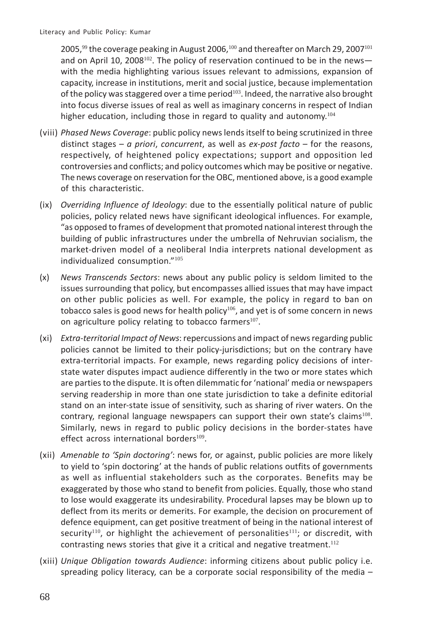2005,<sup>99</sup> the coverage peaking in August 2006,<sup>100</sup> and thereafter on March 29, 2007<sup>101</sup> and on April 10, 2008<sup>102</sup>. The policy of reservation continued to be in the newswith the media highlighting various issues relevant to admissions, expansion of capacity, increase in institutions, merit and social justice, because implementation of the policy was staggered over a time period<sup>103</sup>. Indeed, the narrative also brought into focus diverse issues of real as well as imaginary concerns in respect of Indian higher education, including those in regard to quality and autonomy.<sup>104</sup>

- (viii) *Phased News Coverage*: public policy news lends itself to being scrutinized in three distinct stages – *a priori*, *concurrent*, as well as *ex-post facto* – for the reasons, respectively, of heightened policy expectations; support and opposition led controversies and conflicts; and policy outcomes which may be positive or negative. The news coverage on reservation for the OBC, mentioned above, is a good example of this characteristic.
- (ix) *Overriding Influence of Ideology*: due to the essentially political nature of public policies, policy related news have significant ideological influences. For example, "as opposed to frames of development that promoted national interest through the building of public infrastructures under the umbrella of Nehruvian socialism, the market-driven model of a neoliberal India interprets national development as individualized consumption."<sup>105</sup>
- (x) *News Transcends Sectors*: news about any public policy is seldom limited to the issues surrounding that policy, but encompasses allied issues that may have impact on other public policies as well. For example, the policy in regard to ban on tobacco sales is good news for health policy<sup>106</sup>, and yet is of some concern in news on agriculture policy relating to tobacco farmers $107$ .
- (xi) *Extra-territorial Impact of News*: repercussions and impact of news regarding public policies cannot be limited to their policy-jurisdictions; but on the contrary have extra-territorial impacts. For example, news regarding policy decisions of interstate water disputes impact audience differently in the two or more states which are parties to the dispute. It is often dilemmatic for 'national' media or newspapers serving readership in more than one state jurisdiction to take a definite editorial stand on an inter-state issue of sensitivity, such as sharing of river waters. On the contrary, regional language newspapers can support their own state's claims<sup>108</sup>. Similarly, news in regard to public policy decisions in the border-states have effect across international borders $^{109}$ .
- (xii) *Amenable to 'Spin doctoring'*: news for, or against, public policies are more likely to yield to 'spin doctoring' at the hands of public relations outfits of governments as well as influential stakeholders such as the corporates. Benefits may be exaggerated by those who stand to benefit from policies. Equally, those who stand to lose would exaggerate its undesirability. Procedural lapses may be blown up to deflect from its merits or demerits. For example, the decision on procurement of defence equipment, can get positive treatment of being in the national interest of security<sup>110</sup>, or highlight the achievement of personalities<sup>111</sup>; or discredit, with contrasting news stories that give it a critical and negative treatment.<sup>112</sup>
- (xiii) *Unique Obligation towards Audience*: informing citizens about public policy i.e. spreading policy literacy, can be a corporate social responsibility of the media -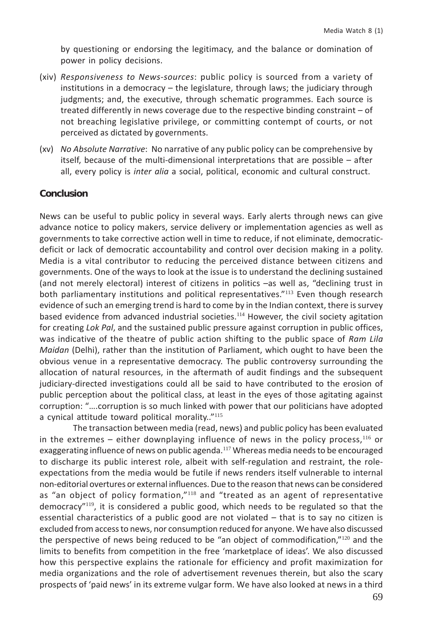by questioning or endorsing the legitimacy, and the balance or domination of power in policy decisions.

- (xiv) *Responsiveness to News-sources*: public policy is sourced from a variety of institutions in a democracy – the legislature, through laws; the judiciary through judgments; and, the executive, through schematic programmes. Each source is treated differently in news coverage due to the respective binding constraint – of not breaching legislative privilege, or committing contempt of courts, or not perceived as dictated by governments.
- (xv) *No Absolute Narrative*: No narrative of any public policy can be comprehensive by itself, because of the multi-dimensional interpretations that are possible – after all, every policy is *inter alia* a social, political, economic and cultural construct.

#### **Conclusion**

News can be useful to public policy in several ways. Early alerts through news can give advance notice to policy makers, service delivery or implementation agencies as well as governments to take corrective action well in time to reduce, if not eliminate, democraticdeficit or lack of democratic accountability and control over decision making in a polity. Media is a vital contributor to reducing the perceived distance between citizens and governments. One of the ways to look at the issue is to understand the declining sustained (and not merely electoral) interest of citizens in politics –as well as, "declining trust in both parliamentary institutions and political representatives."<sup>113</sup> Even though research evidence of such an emerging trend is hard to come by in the Indian context, there is survey based evidence from advanced industrial societies.<sup>114</sup> However, the civil society agitation for creating *Lok Pal*, and the sustained public pressure against corruption in public offices, was indicative of the theatre of public action shifting to the public space of *Ram Lila Maidan* (Delhi), rather than the institution of Parliament, which ought to have been the obvious venue in a representative democracy. The public controversy surrounding the allocation of natural resources, in the aftermath of audit findings and the subsequent judiciary-directed investigations could all be said to have contributed to the erosion of public perception about the political class, at least in the eyes of those agitating against corruption: "….corruption is so much linked with power that our politicians have adopted a cynical attitude toward political morality."<sup>115</sup>

The transaction between media (read, news) and public policy has been evaluated in the extremes  $-$  either downplaying influence of news in the policy process,  $116$  or exaggerating influence of news on public agenda.<sup>117</sup> Whereas media needs to be encouraged to discharge its public interest role, albeit with self-regulation and restraint, the roleexpectations from the media would be futile if news renders itself vulnerable to internal non-editorial overtures or external influences. Due to the reason that news can be considered as "an object of policy formation,"<sup>118</sup> and "treated as an agent of representative democracy"<sup>119</sup>, it is considered a public good, which needs to be regulated so that the essential characteristics of a public good are not violated – that is to say no citizen is excluded from access to news, nor consumption reduced for anyone. We have also discussed the perspective of news being reduced to be "an object of commodification,"<sup>120</sup> and the limits to benefits from competition in the free 'marketplace of ideas'. We also discussed how this perspective explains the rationale for efficiency and profit maximization for media organizations and the role of advertisement revenues therein, but also the scary prospects of 'paid news' in its extreme vulgar form. We have also looked at news in a third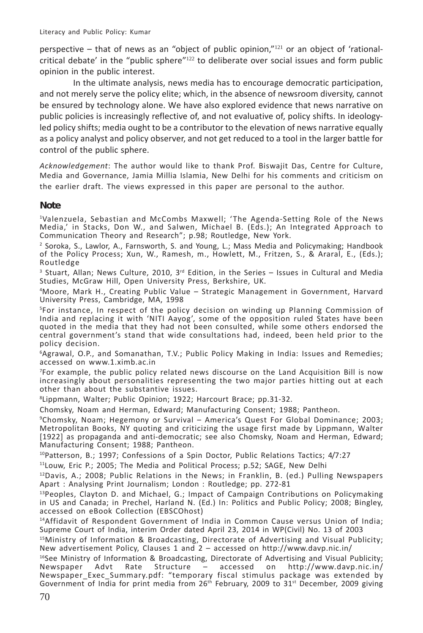perspective – that of news as an "object of public opinion," $121$  or an object of 'rationalcritical debate' in the "public sphere" $122$  to deliberate over social issues and form public opinion in the public interest.

In the ultimate analysis, news media has to encourage democratic participation, and not merely serve the policy elite; which, in the absence of newsroom diversity, cannot be ensured by technology alone. We have also explored evidence that news narrative on public policies is increasingly reflective of, and not evaluative of, policy shifts. In ideologyled policy shifts; media ought to be a contributor to the elevation of news narrative equally as a policy analyst and policy observer, and not get reduced to a tool in the larger battle for control of the public sphere.

*Acknowledgement*: The author would like to thank Prof. Biswajit Das, Centre for Culture, Media and Governance, Jamia Millia Islamia, New Delhi for his comments and criticism on the earlier draft. The views expressed in this paper are personal to the author.

## **Note**

1Valenzuela, Sebastian and McCombs Maxwell; 'The Agenda-Setting Role of the News Media,' in Stacks, Don W., and Salwen, Michael B. (Eds.); An Integrated Approach to Communication Theory and Research"; p.98; Routledge, New York.

2 Soroka, S., Lawlor, A., Farnsworth, S. and Young, L.; Mass Media and Policymaking; Handbook of the Policy Process; Xun, W., Ramesh, m., Howlett, M., Fritzen, S., & Araral, E., (Eds.); Routledge

 $3$  Stuart, Allan; News Culture, 2010, 3<sup>rd</sup> Edition, in the Series  $-$  Issues in Cultural and Media Studies, McGraw Hill, Open University Press, Berkshire, UK.

4 Moore, Mark H., Creating Public Value – Strategic Management in Government, Harvard University Press, Cambridge, MA, 1998

5 For instance, In respect of the policy decision on winding up Planning Commission of India and replacing it with 'NITI Aayog', some of the opposition ruled States have been quoted in the media that they had not been consulted, while some others endorsed the central government's stand that wide consultations had, indeed, been held prior to the policy decision.

6 Agrawal, O.P., and Somanathan, T.V.; Public Policy Making in India: Issues and Remedies; accessed on www.1.ximb.ac.in

7 For example, the public policy related news discourse on the Land Acquisition Bill is now increasingly about personalities representing the two major parties hitting out at each other than about the substantive issues.

8 Lippmann, Walter; Public Opinion; 1922; Harcourt Brace; pp.31-32.

Chomsky, Noam and Herman, Edward; Manufacturing Consent; 1988; Pantheon.

9 Chomsky, Noam; Hegemony or Survival – America's Quest For Global Dominance; 2003; Metropolitan Books, NY quoting and criticizing the usage first made by Lippmann, Walter [1922] as propaganda and anti-democratic; see also Chomsky, Noam and Herman, Edward; Manufacturing Consent; 1988; Pantheon.

10Patterson, B.; 1997; Confessions of a Spin Doctor, Public Relations Tactics; 4/7:27

<sup>11</sup>Louw, Eric P.; 2005; The Media and Political Process; p.52; SAGE, New Delhi

 $12$ Davis, A.; 2008; Public Relations in the News; in Franklin, B. (ed.) Pulling Newspapers Apart : Analysing Print Journalism; London : Routledge; pp. 272-81

 $13$ Peoples, Clayton D. and Michael, G.; Impact of Campaign Contributions on Policymaking in US and Canada; in Prechel, Harland N. (Ed.) In: Politics and Public Policy; 2008; Bingley, accessed on eBook Collection (EBSCOhost)

14Affidavit of Respondent Government of India in Common Cause versus Union of India; Supreme Court of India, interim Order dated April 23, 2014 in WP(Civil) No. 13 of 2003

15Ministry of Information & Broadcasting, Directorate of Advertising and Visual Publicity; New advertisement Policy, Clauses 1 and 2 – accessed on http://www.davp.nic.in/

<sup>16</sup>See Ministry of Information & Broadcasting, Directorate of Advertising and Visual Publicity;<br>Newspaper Advt Rate Structure – accessed on http://www.davp.nic.in/ Structure – accessed on Newspaper Exec Summary.pdf: "temporary fiscal stimulus package was extended by Government of India for print media from  $26<sup>th</sup>$  February, 2009 to  $31<sup>st</sup>$  December, 2009 giving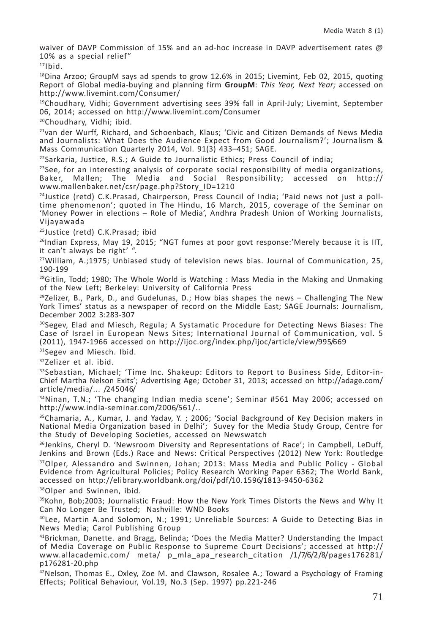waiver of DAVP Commission of 15% and an ad-hoc increase in DAVP advertisement rates  $\omega$ 10% as a special relief"

 $17$ Ibid.

 $18$ Dina Arzoo; GroupM says ad spends to grow 12.6% in 2015; Livemint, Feb 02, 2015, quoting Report of Global media-buying and planning firm **GroupM**: *This Year, Next Year;* accessed on http://www.livemint.com/Consumer/

19Choudhary, Vidhi; Government advertising sees 39% fall in April-July; Livemint, September 06, 2014; accessed on http://www.livemint.com/Consumer

20Choudhary, Vidhi; ibid.

<sup>21</sup>van der Wurff, Richard, and Schoenbach, Klaus; 'Civic and Citizen Demands of News Media and Journalists: What Does the Audience Expect from Good Journalism?'; Journalism & Mass Communication Quarterly 2014, Vol. 91(3) 433–451; SAGE.

 $22$ Sarkaria, Justice, R.S.; A Guide to Journalistic Ethics; Press Council of india;

<sup>23</sup>See, for an interesting analysis of corporate social responsibility of media organizations,<br>Baker. Mallen: The Media and Social Responsibility: accessed on http:// Baker, Mallen; The Media and Social Responsibility; accessed on http:// www.mallenbaker.net/csr/page.php?Story\_ID=1210

 $24$ Justice (retd) C.K.Prasad, Chairperson, Press Council of India; 'Paid news not just a polltime phenomenon'; quoted in The Hindu, 16 March, 2015, coverage of the Seminar on 'Money Power in elections – Role of Media', Andhra Pradesh Union of Working Journalists, Vijayawada

25Justice (retd) C.K.Prasad; ibid

 $^{26}$ Indian Express, May 19, 2015; "NGT fumes at poor govt response:'Merely because it is IIT, it can't always be right' ".

27William, A.;1975; Unbiased study of television news bias. Journal of Communication, 25, 190-199

 $28$ Gitlin, Todd; 1980; The Whole World is Watching : Mass Media in the Making and Unmaking of the New Left; Berkeley: University of California Press

<sup>29</sup>Zelizer, B., Park, D., and Gudelunas, D.; How bias shapes the news – Challenging The New York Times' status as a newspaper of record on the Middle East; SAGE Journals: Journalism, December 2002 3:283-307

30Segev, Elad and Miesch, Regula; A Systamatic Procedure for Detecting News Biases: The Case of Israel in European News Sites; International Journal of Communication, vol. 5 (2011), 1947-1966 accessed on http://ijoc.org/index.php/ijoc/article/view/995/669

31Segev and Miesch. Ibid.

<sup>32</sup>Zelizer et al. ibid.

<sup>33</sup>Sebastian, Michael; 'Time Inc. Shakeup: Editors to Report to Business Side, Editor-in-Chief Martha Nelson Exits'; Advertising Age; October 31, 2013; accessed on http://adage.com/ article/media/... /245046/

34Ninan, T.N.; 'The changing Indian media scene'; Seminar #561 May 2006; accessed on http://www.india-seminar.com/2006/561/..

<sup>35</sup>Chamaria, A., Kumar, J. and Yadav, Y.; 2006; 'Social Background of Key Decision makers in National Media Organization based in Delhi'; Suvey for the Media Study Group, Centre for the Study of Developing Societies, accessed on Newswatch

<sup>36</sup>Jenkins, Cheryl D. 'Newsroom Diversity and Representations of Race'; in Campbell, LeDuff, Jenkins and Brown (Eds.) Race and News: Critical Perspectives (2012) New York: Routledge 37Olper, Alessandro and Swinnen, Johan; 2013: Mass Media and Public Policy - Global Evidence from Agricultural Policies; Policy Research Working Paper 6362; The World Bank, accessed on http://elibrary.worldbank.org/doi/pdf/10.1596/1813-9450-6362

38Olper and Swinnen, ibid.

39Kohn, Bob;2003; Journalistic Fraud: How the New York Times Distorts the News and Why It Can No Longer Be Trusted; Nashville: WND Books

40Lee, Martin A.and Solomon, N.; 1991; Unreliable Sources: A Guide to Detecting Bias in News Media; Carol Publishing Group

41Brickman, Danette. and Bragg, Belinda; 'Does the Media Matter? Understanding the Impact of Media Coverage on Public Response to Supreme Court Decisions'; accessed at http:// www.allacademic.com/ meta/ p\_mla\_apa\_research\_citation /1/7/6/2/8/pages176281/ p176281-20.php

 $42$ Nelson, Thomas E., Oxley, Zoe M. and Clawson, Rosalee A.; Toward a Psychology of Framing Effects; Political Behaviour, Vol.19, No.3 (Sep. 1997) pp.221-246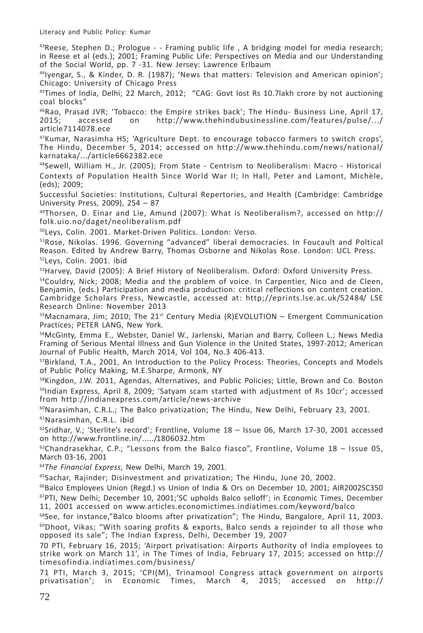<sup>43</sup>Reese, Stephen D.; Prologue - - Framing public life, A bridging model for media research; in Reese et al (eds.); 2001; Framing Public Life: Perspectives on Media and our Understanding of the Social World, pp. 7 -31. New Jersey: Lawrence Erlbaum

44Iyengar, S., & Kinder, D. R. (1987); 'News that matters: Television and American opinion'; Chicago: University of Chicago Press

 $45$ Times of India, Delhi; 22 March, 2012; "CAG: Govt lost Rs 10.7 lakh crore by not auctioning coal blocks"

<sup>46</sup>Rao, Prasad JVR; 'Tobacco: the Empire strikes back'; The Hindu- Business Line, April 17,<br>2015: accessed on http://www.thehindubusinessline.com/features/pulse/.../ http://www.thehindubusinessline.com/features/pulse/.../ article7114078.ece

 $47$ Kumar, Narasimha HS; 'Agriculture Dept. to encourage tobacco farmers to switch crops', The Hindu, December 5, 2014; accessed on http://www.thehindu.com/news/national/ karnataka/.../article6662382.ece

48Sewell, William H., Jr. (2005); From State - Centrism to Neoliberalism: Macro - Historical Contexts of Population Health Since World War II; In Hall, Peter and Lamont, Michèle, (eds); 2009;

Successful Societies: Institutions, Cultural Repertories, and Health (Cambridge: Cambridge University Press, 2009), 254 – 87

 $49$ Thorsen, D. Einar and Lie, Amund (2007): What is Neoliberalism?, accessed on http:// folk.uio.no/daget/neoliberalism.pdf

50Leys, Colin. 2001. Market-Driven Politics. London: Verso.

51Rose, Nikolas. 1996. Governing "advanced" liberal democracies. In Foucault and Poltical Reason. Edited by Andrew Barry, Thomas Osborne and Nikolas Rose. London: UCL Press. 52Leys, Colin. 2001. ibid

<sup>53</sup> Harvey, David (2005): A Brief History of Neoliberalism. Oxford: Oxford University Press.

<sup>54</sup>Couldry, Nick: 2008; Media and the problem of voice. In Carpentier, Nico and de Cleen, Benjamin, (eds.) Participation and media production: critical reflections on content creation. Cambridge Scholars Press, Newcastle, accessed at: http;//eprints.lse.ac.uk/52484/ LSE Research Online: November 2013

 $55$ Macnamara, Jim; 2010; The 21 $5$ t Century Media (R)EVOLUTION – Emergent Communication Practices; PETER LANG, New York.

56McGinty, Emma E., Webster, Daniel W., Jarlenski, Marian and Barry, Colleen L.; News Media Framing of Serious Mental Illness and Gun Violence in the United States, 1997-2012; American Journal of Public Health, March 2014, Vol 104, No.3 406-413.

<sup>57</sup>Birkland, T.A., 2001, An Introduction to the Policy Process: Theories, Concepts and Models of Public Policy Making, M.E.Sharpe, Armonk, NY

<sup>58</sup>Kingdon, J.W. 2011, Agendas, Alternatives, and Public Policies; Little, Brown and Co. Boston <sup>59</sup>Indian Express, April 8, 2009; 'Satyam scam started with adjustment of Rs 10cr'; accessed from http://indianexpress.com/article/news-archive

 $60$ Narasimhan, C.R.L.; The Balco privatization; The Hindu, New Delhi, February 23, 2001. 61Narasimhan, C.R.L. ibid

 $62$ Sridhar, V.; 'Sterlite's record'; Frontline, Volume  $18 -$  Issue 06, March 17-30, 2001 accessed on http://www.frontline.in/...../1806032.htm

 $63$ Chandrasekhar, C.P.; "Lessons from the Balco fiasco", Frontline, Volume 18 - Issue 05, March 03-16, 2001

<sup>64</sup>*The Financial Express*, New Delhi, March 19, 2001.

65Sachar, Rajinder; Disinvestment and privatization; The Hindu, June 20, 2002.

<sup>66</sup>Balco Employees Union (Regd.) vs Union of India & Ors on December 10, 2001; AIR2002SC350 67PTI, New Delhi; December 10, 2001;'SC upholds Balco selloff'; in Economic Times, December 11, 2001 accessed on www.articles.economictimes.indiatimes.com/keyword/balco

 $68$ See, for instance,"Balco blooms after privatization"; The Hindu, Bangalore, April 11, 2003.  $69$ Dhoot, Vikas; "With soaring profits & exports, Balco sends a rejoinder to all those who opposed its sale"; The Indian Express, Delhi, December 19, 2007

70 PTI, February 16, 2015; 'Airport privatisation: Airports Authority of India employees to strike work on March 11', in The Times of India, February 17, 2015; accessed on http:// timesofindia.indiatimes.com/business/

71 PTI, March 3, 2015; 'CPI(M), Trinamool Congress attack government on airports privatisation'; in Economic Times, March 4, 2015; accessed on http://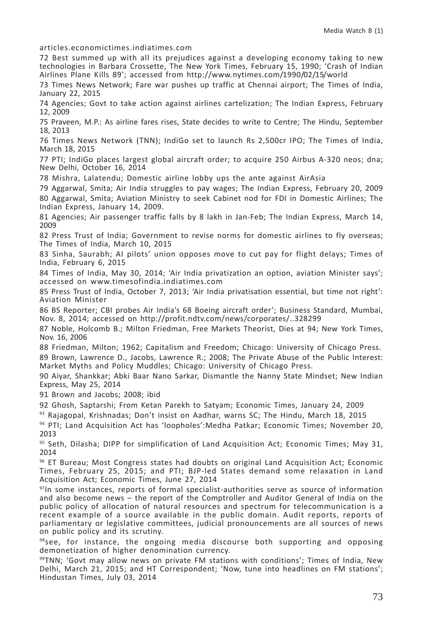articles.economictimes.indiatimes.com

72 Best summed up with all its prejudices against a developing economy taking to new technologies in Barbara Crossette, The New York Times, February 15, 1990; 'Crash of Indian Airlines Plane Kills 89'; accessed from http://www.nytimes.com/1990/02/15/world

73 Times News Network; Fare war pushes up traffic at Chennai airport; The Times of India, January 22, 2015

74 Agencies; Govt to take action against airlines cartelization; The Indian Express, February 12, 2009

75 Praveen, M.P.: As airline fares rises, State decides to write to Centre; The Hindu, September 18, 2013

76 Times News Network (TNN); IndiGo set to launch Rs 2,500cr IPO; The Times of India, March 18, 2015

77 PTI; IndiGo places largest global aircraft order; to acquire 250 Airbus A-320 neos; dna; New Delhi, October 16, 2014

78 Mishra, Lalatendu; Domestic airline lobby ups the ante against AirAsia

79 Aggarwal, Smita; Air India struggles to pay wages; The Indian Express, February 20, 2009 80 Aggarwal, Smita; Aviation Ministry to seek Cabinet nod for FDI in Domestic Airlines; The Indian Express, January 14, 2009.

81 Agencies; Air passenger traffic falls by 8 lakh in Jan-Feb; The Indian Express, March 14, 2009

82 Press Trust of India; Government to revise norms for domestic airlines to fly overseas; The Times of India, March 10, 2015

83 Sinha, Saurabh; AI pilots' union opposes move to cut pay for flight delays; Times of India, February 6, 2015

84 Times of India, May 30, 2014; 'Air India privatization an option, aviation Minister says'; accessed on www.timesofindia.indiatimes.com

85 Press Trust of India, October 7, 2013; 'Air India privatisation essential, but time not right': Aviation Minister

86 BS Reporter; CBI probes Air India's 68 Boeing aircraft order'; Business Standard, Mumbai, Nov. 8, 2014; accessed on http://profit.ndtv.com/news/corporates/..328299

87 Noble, Holcomb B.; Milton Friedman, Free Markets Theorist, Dies at 94; New York Times, Nov. 16, 2006

88 Friedman, Milton; 1962; Capitalism and Freedom; Chicago: University of Chicago Press. 89 Brown, Lawrence D., Jacobs, Lawrence R.; 2008; The Private Abuse of the Public Interest: Market Myths and Policy Muddles; Chicago: University of Chicago Press.

90 Aiyar, Shankkar; Abki Baar Nano Sarkar, Dismantle the Nanny State Mindset; New Indian Express, May 25, 2014

91 Brown and Jacobs; 2008; ibid

92 Ghosh, Saptarshi; From Ketan Parekh to Satyam; Economic Times, January 24, 2009

93 Rajagopal, Krishnadas; Don't insist on Aadhar, warns SC; The Hindu, March 18, 2015

94 PTI; Land Acquisition Act has 'loopholes':Medha Patkar; Economic Times; November 20, 2013

95 Seth, Dilasha; DIPP for simplification of Land Acquisition Act; Economic Times; May 31, 2014

96 ET Bureau; Most Congress states had doubts on original Land Acquisition Act; Economic Times, February 25, 2015; and PTI; BJP-led States demand some relaxation in Land Acquisition Act; Economic Times, June 27, 2014

97In some instances, reports of formal specialist-authorities serve as source of information and also become news – the report of the Comptroller and Auditor General of India on the public policy of allocation of natural resources and spectrum for telecommunication is a recent example of a source available in the public domain. Audit reports, reports of parliamentary or legislative committees, judicial pronouncements are all sources of news on public policy and its scrutiny.

 $98$ see, for instance, the ongoing media discourse both supporting and opposing demonetization of higher denomination currency.

 $99$ TNN; 'Govt may allow news on private FM stations with conditions'; Times of India, New Delhi, March 21, 2015; and HT Correspondent; 'Now, tune into headlines on FM stations'; Hindustan Times, July 03, 2014